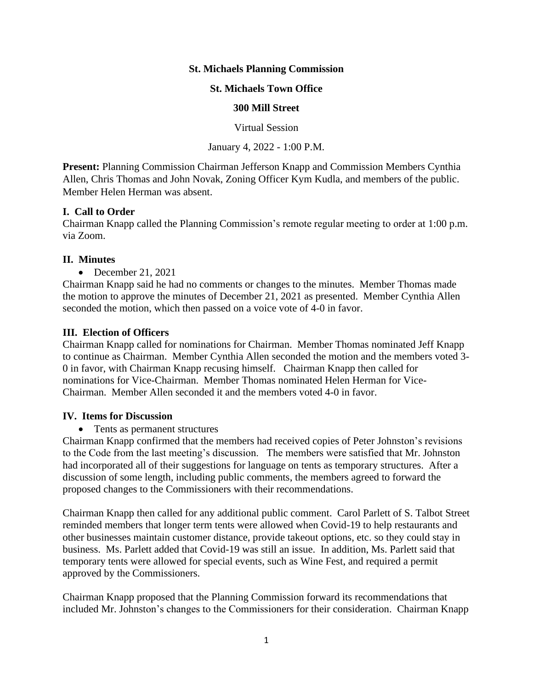### **St. Michaels Planning Commission**

### **St. Michaels Town Office**

#### **300 Mill Street**

Virtual Session

January 4, 2022 - 1:00 P.M.

**Present:** Planning Commission Chairman Jefferson Knapp and Commission Members Cynthia Allen, Chris Thomas and John Novak, Zoning Officer Kym Kudla, and members of the public. Member Helen Herman was absent.

#### **I. Call to Order**

Chairman Knapp called the Planning Commission's remote regular meeting to order at 1:00 p.m. via Zoom.

#### **II. Minutes**

• December 21, 2021

Chairman Knapp said he had no comments or changes to the minutes. Member Thomas made the motion to approve the minutes of December 21, 2021 as presented. Member Cynthia Allen seconded the motion, which then passed on a voice vote of 4-0 in favor.

## **III. Election of Officers**

Chairman Knapp called for nominations for Chairman. Member Thomas nominated Jeff Knapp to continue as Chairman. Member Cynthia Allen seconded the motion and the members voted 3- 0 in favor, with Chairman Knapp recusing himself. Chairman Knapp then called for nominations for Vice-Chairman. Member Thomas nominated Helen Herman for Vice-Chairman. Member Allen seconded it and the members voted 4-0 in favor.

#### **IV. Items for Discussion**

• Tents as permanent structures

Chairman Knapp confirmed that the members had received copies of Peter Johnston's revisions to the Code from the last meeting's discussion. The members were satisfied that Mr. Johnston had incorporated all of their suggestions for language on tents as temporary structures. After a discussion of some length, including public comments, the members agreed to forward the proposed changes to the Commissioners with their recommendations.

Chairman Knapp then called for any additional public comment. Carol Parlett of S. Talbot Street reminded members that longer term tents were allowed when Covid-19 to help restaurants and other businesses maintain customer distance, provide takeout options, etc. so they could stay in business. Ms. Parlett added that Covid-19 was still an issue. In addition, Ms. Parlett said that temporary tents were allowed for special events, such as Wine Fest, and required a permit approved by the Commissioners.

Chairman Knapp proposed that the Planning Commission forward its recommendations that included Mr. Johnston's changes to the Commissioners for their consideration. Chairman Knapp